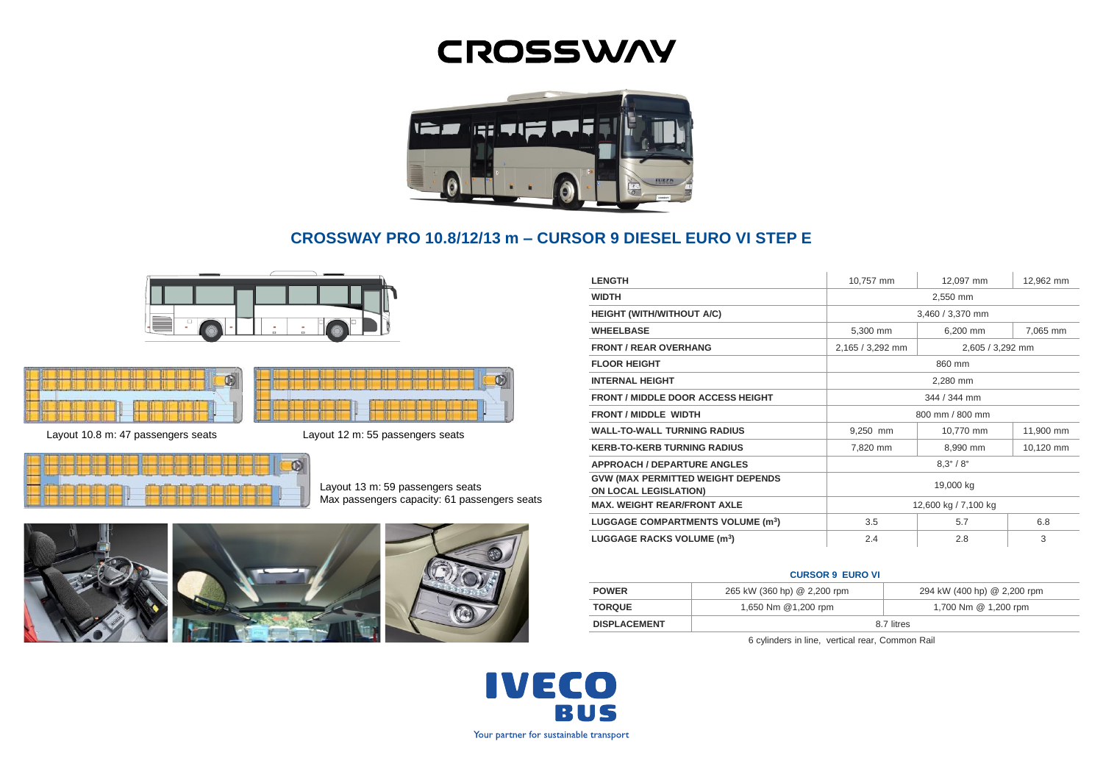# **CROSSWAY**



# **CROSSWAY PRO 10.8/12/13 m – CURSOR 9 DIESEL EURO VI STEP E**

Ñ





Layout 10.8 m: 47 passengers seats Layout 12 m: 55 passengers seats



Layout 13 m: 59 passengers seats Max passengers capacity: 61 passengers seats



| <b>LENGTH</b>                                                            | 10,757 mm                 | 12,097 mm        | 12,962 mm |
|--------------------------------------------------------------------------|---------------------------|------------------|-----------|
| <b>WIDTH</b>                                                             | 2,550 mm                  |                  |           |
| <b>HEIGHT (WITH/WITHOUT A/C)</b>                                         | 3,460 / 3,370 mm          |                  |           |
| <b>WHEELBASE</b>                                                         | 5,300 mm                  | 6,200 mm         | 7,065 mm  |
| <b>FRONT / REAR OVERHANG</b>                                             | 2,165 / 3,292 mm          | 2,605 / 3,292 mm |           |
| <b>FLOOR HEIGHT</b>                                                      | 860 mm                    |                  |           |
| <b>INTERNAL HEIGHT</b>                                                   | 2.280 mm                  |                  |           |
| <b>FRONT / MIDDLE DOOR ACCESS HEIGHT</b>                                 | 344 / 344 mm              |                  |           |
| FRONT / MIDDLE WIDTH                                                     | 800 mm / 800 mm           |                  |           |
| <b>WALL-TO-WALL TURNING RADIUS</b>                                       | 9,250 mm                  | 10,770 mm        | 11,900 mm |
| <b>KERB-TO-KERB TURNING RADIUS</b>                                       | 7,820 mm                  | 8,990 mm         | 10,120 mm |
| <b>APPROACH / DEPARTURE ANGLES</b>                                       | $8.3^{\circ} / 8^{\circ}$ |                  |           |
| <b>GVW (MAX PERMITTED WEIGHT DEPENDS</b><br><b>ON LOCAL LEGISLATION)</b> | 19,000 kg                 |                  |           |
| <b>MAX. WEIGHT REAR/FRONT AXLE</b>                                       | 12,600 kg / 7,100 kg      |                  |           |
| LUGGAGE COMPARTMENTS VOLUME (m <sup>3</sup> )                            | 3.5                       | 5.7              | 6.8       |
| LUGGAGE RACKS VOLUME (m <sup>3</sup> )                                   | 2.4                       | 2.8              | 3         |

### **CURSOR 9 EURO VI**

| <b>POWER</b>        | 265 kW (360 hp) @ 2,200 rpm | 294 kW (400 hp) @ 2,200 rpm |  |
|---------------------|-----------------------------|-----------------------------|--|
| <b>TORQUE</b>       | 1,650 Nm @1,200 rpm         | 1,700 Nm @ 1,200 rpm        |  |
| <b>DISPLACEMENT</b> | 8.7 litres                  |                             |  |

6 cylinders in line, vertical rear, Common Rail